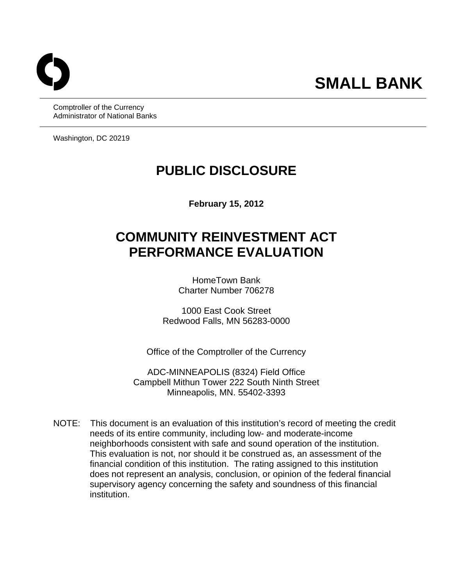Comptroller of the Currency Administrator of National Banks

Washington, DC 20219

# **PUBLIC DISCLOSURE**

**February 15, 2012** 

# **COMMUNITY REINVESTMENT ACT PERFORMANCE EVALUATION**

HomeTown Bank Charter Number 706278

1000 East Cook Street Redwood Falls, MN 56283-0000

Office of the Comptroller of the Currency

ADC-MINNEAPOLIS (8324) Field Office Campbell Mithun Tower 222 South Ninth Street Minneapolis, MN. 55402-3393

 NOTE: This document is an evaluation of this institution's record of meeting the credit needs of its entire community, including low- and moderate-income neighborhoods consistent with safe and sound operation of the institution. This evaluation is not, nor should it be construed as, an assessment of the financial condition of this institution. The rating assigned to this institution does not represent an analysis, conclusion, or opinion of the federal financial supervisory agency concerning the safety and soundness of this financial institution.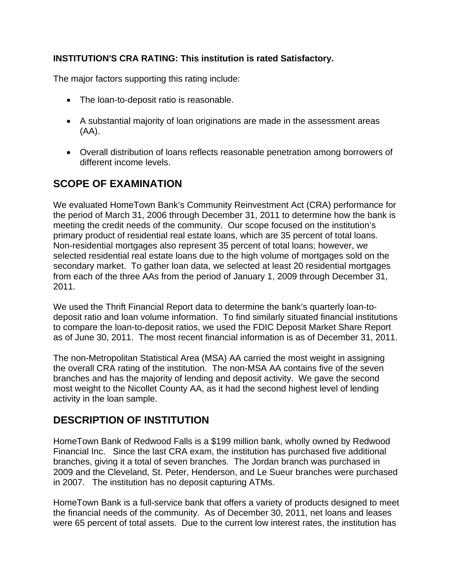### **INSTITUTION'S CRA RATING: This institution is rated Satisfactory.**

The major factors supporting this rating include:

- The loan-to-deposit ratio is reasonable.
- A substantial majority of loan originations are made in the assessment areas (AA).
- Overall distribution of loans reflects reasonable penetration among borrowers of different income levels.

# **SCOPE OF EXAMINATION**

We evaluated HomeTown Bank's Community Reinvestment Act (CRA) performance for the period of March 31, 2006 through December 31, 2011 to determine how the bank is meeting the credit needs of the community. Our scope focused on the institution's primary product of residential real estate loans, which are 35 percent of total loans. Non-residential mortgages also represent 35 percent of total loans; however, we selected residential real estate loans due to the high volume of mortgages sold on the secondary market. To gather loan data, we selected at least 20 residential mortgages from each of the three AAs from the period of January 1, 2009 through December 31, 2011.

We used the Thrift Financial Report data to determine the bank's quarterly loan-todeposit ratio and loan volume information. To find similarly situated financial institutions to compare the loan-to-deposit ratios, we used the FDIC Deposit Market Share Report as of June 30, 2011. The most recent financial information is as of December 31, 2011.

The non-Metropolitan Statistical Area (MSA) AA carried the most weight in assigning the overall CRA rating of the institution. The non-MSA AA contains five of the seven branches and has the majority of lending and deposit activity. We gave the second most weight to the Nicollet County AA, as it had the second highest level of lending activity in the loan sample.

# **DESCRIPTION OF INSTITUTION**

HomeTown Bank of Redwood Falls is a \$199 million bank, wholly owned by Redwood Financial Inc. Since the last CRA exam, the institution has purchased five additional branches, giving it a total of seven branches. The Jordan branch was purchased in 2009 and the Cleveland, St. Peter, Henderson, and Le Sueur branches were purchased in 2007. The institution has no deposit capturing ATMs.

HomeTown Bank is a full-service bank that offers a variety of products designed to meet the financial needs of the community. As of December 30, 2011, net loans and leases were 65 percent of total assets. Due to the current low interest rates, the institution has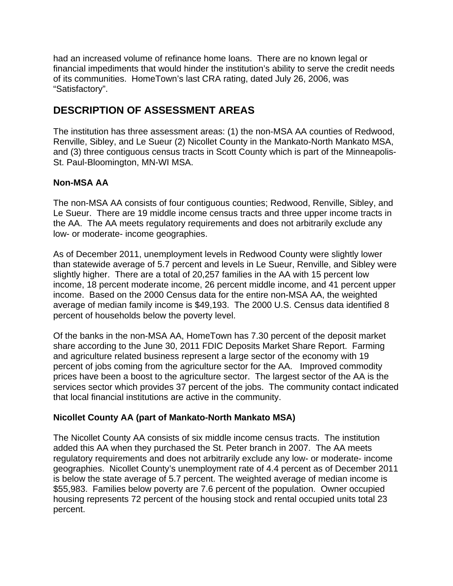had an increased volume of refinance home loans. There are no known legal or financial impediments that would hinder the institution's ability to serve the credit needs of its communities. HomeTown's last CRA rating, dated July 26, 2006, was "Satisfactory".

# **DESCRIPTION OF ASSESSMENT AREAS**

The institution has three assessment areas: (1) the non-MSA AA counties of Redwood, Renville, Sibley, and Le Sueur (2) Nicollet County in the Mankato-North Mankato MSA, and (3) three contiguous census tracts in Scott County which is part of the Minneapolis-St. Paul-Bloomington, MN-WI MSA.

# **Non-MSA AA**

The non-MSA AA consists of four contiguous counties; Redwood, Renville, Sibley, and Le Sueur. There are 19 middle income census tracts and three upper income tracts in the AA. The AA meets regulatory requirements and does not arbitrarily exclude any low- or moderate- income geographies.

As of December 2011, unemployment levels in Redwood County were slightly lower than statewide average of 5.7 percent and levels in Le Sueur, Renville, and Sibley were slightly higher. There are a total of 20,257 families in the AA with 15 percent low income, 18 percent moderate income, 26 percent middle income, and 41 percent upper income. Based on the 2000 Census data for the entire non-MSA AA, the weighted average of median family income is \$49,193. The 2000 U.S. Census data identified 8 percent of households below the poverty level.

Of the banks in the non-MSA AA, HomeTown has 7.30 percent of the deposit market share according to the June 30, 2011 FDIC Deposits Market Share Report. Farming and agriculture related business represent a large sector of the economy with 19 percent of jobs coming from the agriculture sector for the AA. Improved commodity prices have been a boost to the agriculture sector. The largest sector of the AA is the services sector which provides 37 percent of the jobs. The community contact indicated that local financial institutions are active in the community.

# **Nicollet County AA (part of Mankato-North Mankato MSA)**

The Nicollet County AA consists of six middle income census tracts. The institution added this AA when they purchased the St. Peter branch in 2007. The AA meets regulatory requirements and does not arbitrarily exclude any low- or moderate- income geographies. Nicollet County's unemployment rate of 4.4 percent as of December 2011 is below the state average of 5.7 percent. The weighted average of median income is \$55,983. Families below poverty are 7.6 percent of the population. Owner occupied housing represents 72 percent of the housing stock and rental occupied units total 23 percent.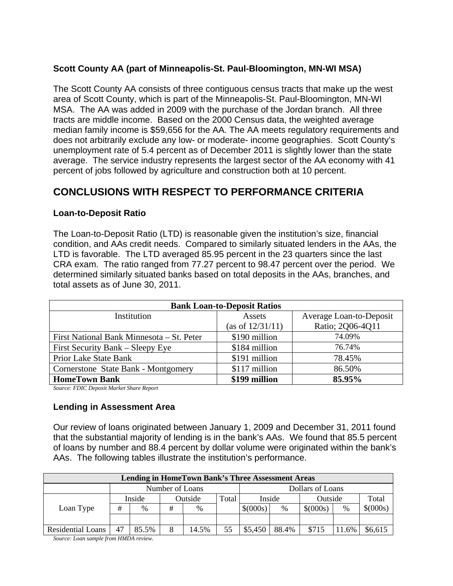### **Scott County AA (part of Minneapolis-St. Paul-Bloomington, MN-WI MSA)**

The Scott County AA consists of three contiguous census tracts that make up the west area of Scott County, which is part of the Minneapolis-St. Paul-Bloomington, MN-WI MSA. The AA was added in 2009 with the purchase of the Jordan branch. All three tracts are middle income. Based on the 2000 Census data, the weighted average median family income is \$59,656 for the AA. The AA meets regulatory requirements and does not arbitrarily exclude any low- or moderate- income geographies. Scott County's unemployment rate of 5.4 percent as of December 2011 is slightly lower than the state average. The service industry represents the largest sector of the AA economy with 41 percent of jobs followed by agriculture and construction both at 10 percent.

# **CONCLUSIONS WITH RESPECT TO PERFORMANCE CRITERIA**

#### **Loan-to-Deposit Ratio**

The Loan-to-Deposit Ratio (LTD) is reasonable given the institution's size, financial condition, and AAs credit needs. Compared to similarly situated lenders in the AAs, the LTD is favorable. The LTD averaged 85.95 percent in the 23 quarters since the last CRA exam. The ratio ranged from 77.27 percent to 98.47 percent over the period. We determined similarly situated banks based on total deposits in the AAs, branches, and total assets as of June 30, 2011.

| <b>Bank Loan-to-Deposit Ratios</b>        |                  |                         |  |  |  |  |  |  |  |
|-------------------------------------------|------------------|-------------------------|--|--|--|--|--|--|--|
| Institution                               | Assets           | Average Loan-to-Deposit |  |  |  |  |  |  |  |
|                                           | (as of 12/31/11) | Ratio; 2Q06-4Q11        |  |  |  |  |  |  |  |
| First National Bank Minnesota – St. Peter | \$190 million    | 74.09%                  |  |  |  |  |  |  |  |
| First Security Bank – Sleepy Eye          | \$184 million    | 76.74%                  |  |  |  |  |  |  |  |
| <b>Prior Lake State Bank</b>              | \$191 million    | 78.45%                  |  |  |  |  |  |  |  |
| Cornerstone State Bank - Montgomery       | \$117 million    | 86.50%                  |  |  |  |  |  |  |  |
| <b>HomeTown Bank</b>                      | \$199 million    | 85.95%                  |  |  |  |  |  |  |  |

*Source: FDIC Deposit Market Share Report* 

#### **Lending in Assessment Area**

Our review of loans originated between January 1, 2009 and December 31, 2011 found that the substantial majority of lending is in the bank's AAs. We found that 85.5 percent of loans by number and 88.4 percent by dollar volume were originated within the bank's AAs. The following tables illustrate the institution's performance.

| <b>Lending in HomeTown Bank's Three Assessment Areas</b> |                 |               |         |       |                  |          |       |          |       |          |  |
|----------------------------------------------------------|-----------------|---------------|---------|-------|------------------|----------|-------|----------|-------|----------|--|
|                                                          | Number of Loans |               |         |       | Dollars of Loans |          |       |          |       |          |  |
|                                                          | Inside          |               | Outside |       | Total            | Inside   |       | Outside  |       | Total    |  |
| Loan Type                                                | #               | $\frac{0}{0}$ | #       | $\%$  |                  | \$(000s) | %     | \$(000s) | %     | \$(000s) |  |
|                                                          |                 |               |         |       |                  |          |       |          |       |          |  |
| Residential Loans                                        | 47              | 85.5%         |         | 14.5% | 55               | \$5,450  | 88.4% | \$715    | 11.6% | \$6,615  |  |

*Source: Loan sample from HMDA review.*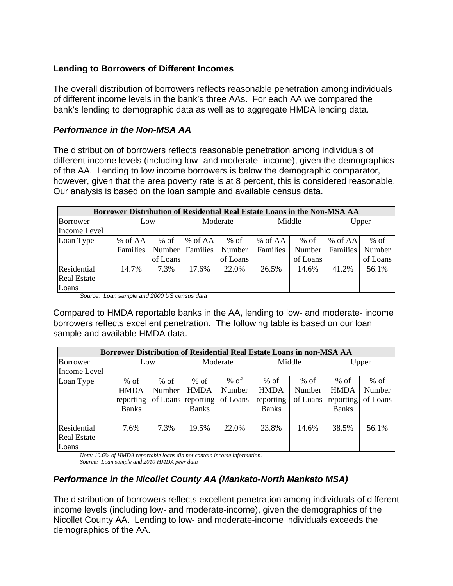#### **Lending to Borrowers of Different Incomes**

The overall distribution of borrowers reflects reasonable penetration among individuals of different income levels in the bank's three AAs. For each AA we compared the bank's lending to demographic data as well as to aggregate HMDA lending data.

#### *Performance in the Non-MSA AA*

The distribution of borrowers reflects reasonable penetration among individuals of different income levels (including low- and moderate- income), given the demographics of the AA. Lending to low income borrowers is below the demographic comparator, however, given that the area poverty rate is at 8 percent, this is considered reasonable. Our analysis is based on the loan sample and available census data.

| Borrower Distribution of Residential Real Estate Loans in the Non-MSA AA |          |          |            |          |          |          |                 |          |  |  |
|--------------------------------------------------------------------------|----------|----------|------------|----------|----------|----------|-----------------|----------|--|--|
| Borrower                                                                 | Low      |          | Moderate   |          | Middle   |          | Upper           |          |  |  |
| Income Level                                                             |          |          |            |          |          |          |                 |          |  |  |
| Loan Type                                                                | % of AA  | $%$ of   | $\%$ of AA | $%$ of   | % of AA  | $%$ of   | % of $AA$       | $%$ of   |  |  |
|                                                                          | Families | Number   | Families   | Number   | Families | Number   | <b>Families</b> | Number   |  |  |
|                                                                          |          | of Loans |            | of Loans |          | of Loans |                 | of Loans |  |  |
| Residential                                                              | 14.7%    | 7.3%     | 17.6%      | 22.0%    | 26.5%    | 14.6%    | 41.2%           | 56.1%    |  |  |
| <b>Real Estate</b>                                                       |          |          |            |          |          |          |                 |          |  |  |
| Loans                                                                    |          |          |            |          |          |          |                 |          |  |  |

*Source: Loan sample and 2000 US census data* 

Compared to HMDA reportable banks in the AA, lending to low- and moderate- income borrowers reflects excellent penetration. The following table is based on our loan sample and available HMDA data.

| <b>Borrower Distribution of Residential Real Estate Loans in non-MSA AA</b> |              |        |                    |          |              |          |              |          |  |  |
|-----------------------------------------------------------------------------|--------------|--------|--------------------|----------|--------------|----------|--------------|----------|--|--|
| Borrower                                                                    | Low          |        | Moderate           |          | Middle       |          | Upper        |          |  |  |
| Income Level                                                                |              |        |                    |          |              |          |              |          |  |  |
| Loan Type                                                                   | $%$ of       | $%$ of | $%$ of             | $%$ of   | $%$ of       | $%$ of   | $%$ of       | $%$ of   |  |  |
|                                                                             | <b>HMDA</b>  | Number | <b>HMDA</b>        | Number   | <b>HMDA</b>  | Number   | <b>HMDA</b>  | Number   |  |  |
|                                                                             | reporting    |        | of Loans reporting | of Loans | reporting    | of Loans | reporting    | of Loans |  |  |
|                                                                             | <b>Banks</b> |        | <b>Banks</b>       |          | <b>Banks</b> |          | <b>Banks</b> |          |  |  |
| Residential<br><b>Real Estate</b><br>Loans                                  | 7.6%         | 7.3%   | 19.5%              | 22.0%    | 23.8%        | 14.6%    | 38.5%        | 56.1%    |  |  |

*Note: 10.6% of HMDA reportable loans did not contain income information. Source: Loan sample and 2010 HMDA peer data* 

# *Performance in the Nicollet County AA (Mankato-North Mankato MSA)*

The distribution of borrowers reflects excellent penetration among individuals of different income levels (including low- and moderate-income), given the demographics of the Nicollet County AA. Lending to low- and moderate-income individuals exceeds the demographics of the AA.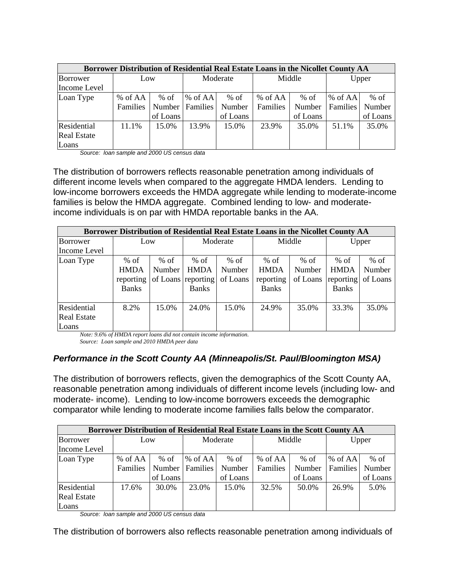| <b>Borrower Distribution of Residential Real Estate Loans in the Nicollet County AA</b> |          |          |            |          |          |          |                 |          |  |  |
|-----------------------------------------------------------------------------------------|----------|----------|------------|----------|----------|----------|-----------------|----------|--|--|
| Borrower                                                                                | Low      |          | Moderate   |          | Middle   |          | Upper           |          |  |  |
| Income Level                                                                            |          |          |            |          |          |          |                 |          |  |  |
| Loan Type                                                                               | % of AA  | $%$ of   | $\%$ of AA | $%$ of   | % of AA  | $%$ of   | $%$ of AA       | $%$ of   |  |  |
|                                                                                         | Families | Number   | Families   | Number   | Families | Number   | <b>Families</b> | Number   |  |  |
|                                                                                         |          | of Loans |            | of Loans |          | of Loans |                 | of Loans |  |  |
| Residential                                                                             | 11.1%    | 15.0%    | 13.9%      | 15.0%    | 23.9%    | 35.0%    | 51.1%           | 35.0%    |  |  |
| <b>Real Estate</b>                                                                      |          |          |            |          |          |          |                 |          |  |  |
| Loans                                                                                   |          |          |            |          |          |          |                 |          |  |  |

*Source: loan sample and 2000 US census data* 

The distribution of borrowers reflects reasonable penetration among individuals of different income levels when compared to the aggregate HMDA lenders. Lending to low-income borrowers exceeds the HMDA aggregate while lending to moderate-income families is below the HMDA aggregate. Combined lending to low- and moderateincome individuals is on par with HMDA reportable banks in the AA.

| Borrower Distribution of Residential Real Estate Loans in the Nicollet County AA |              |        |                    |          |              |          |              |          |  |  |  |
|----------------------------------------------------------------------------------|--------------|--------|--------------------|----------|--------------|----------|--------------|----------|--|--|--|
| Borrower                                                                         | Low          |        | Moderate           |          | Middle       |          | Upper        |          |  |  |  |
| Income Level                                                                     |              |        |                    |          |              |          |              |          |  |  |  |
| Loan Type                                                                        | $%$ of       | $%$ of | $%$ of             | $%$ of   | $%$ of       | $%$ of   | $%$ of       | $%$ of   |  |  |  |
|                                                                                  | <b>HMDA</b>  | Number | <b>HMDA</b>        | Number   | <b>HMDA</b>  | Number   | <b>HMDA</b>  | Number   |  |  |  |
|                                                                                  | reporting    |        | of Loans reporting | of Loans | reporting    | of Loans | reporting    | of Loans |  |  |  |
|                                                                                  | <b>Banks</b> |        | <b>Banks</b>       |          | <b>Banks</b> |          | <b>Banks</b> |          |  |  |  |
|                                                                                  |              |        |                    |          |              |          |              |          |  |  |  |
| Residential                                                                      | 8.2%         | 15.0%  | 24.0%              | 15.0%    | 24.9%        | 35.0%    | 33.3%        | 35.0%    |  |  |  |
| <b>Real Estate</b>                                                               |              |        |                    |          |              |          |              |          |  |  |  |
| Loans                                                                            |              |        |                    |          |              |          |              |          |  |  |  |

*Note: 9.6% of HMDA report loans did not contain income information.*

*Source: Loan sample and 2010 HMDA peer data* 

### *Performance in the Scott County AA (Minneapolis/St. Paul/Bloomington MSA)*

The distribution of borrowers reflects, given the demographics of the Scott County AA, reasonable penetration among individuals of different income levels (including low- and moderate- income). Lending to low-income borrowers exceeds the demographic comparator while lending to moderate income families falls below the comparator.

| <b>Borrower Distribution of Residential Real Estate Loans in the Scott County AA</b> |          |          |                 |          |          |          |           |          |  |  |
|--------------------------------------------------------------------------------------|----------|----------|-----------------|----------|----------|----------|-----------|----------|--|--|
| Borrower                                                                             | Low      |          | Moderate        |          | Middle   |          | Upper     |          |  |  |
| Income Level                                                                         |          |          |                 |          |          |          |           |          |  |  |
| Loan Type                                                                            | % of AA  | $%$ of   | $%$ of AA       | $%$ of   | % of AA  | $%$ of   | $%$ of AA | $%$ of   |  |  |
|                                                                                      | Families | Number   | <b>Families</b> | Number   | Families | Number   | Families  | Number   |  |  |
|                                                                                      |          | of Loans |                 | of Loans |          | of Loans |           | of Loans |  |  |
| Residential                                                                          | 17.6%    | 30.0%    | 23.0%           | 15.0%    | 32.5%    | 50.0%    | 26.9%     | 5.0%     |  |  |
| <b>Real Estate</b>                                                                   |          |          |                 |          |          |          |           |          |  |  |
| Loans                                                                                |          |          |                 |          |          |          |           |          |  |  |

*Source: loan sample and 2000 US census data* 

The distribution of borrowers also reflects reasonable penetration among individuals of